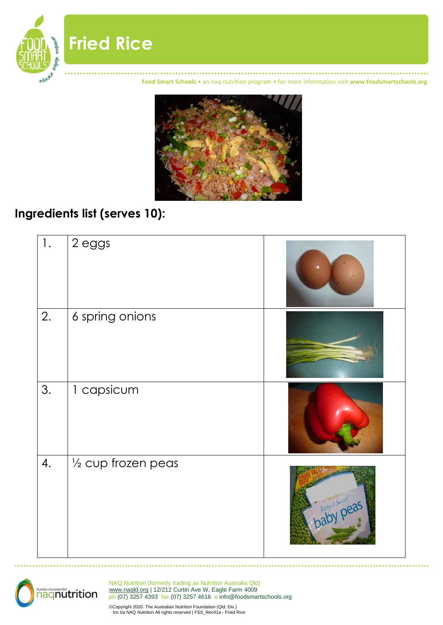

**Food Smart Schools** • an naq nutrition program • for more information visit **www.foodsmartschools.org**



#### **Ingredients list (serves 10):**

**Fried Rice**

| 1. | 2 eggs              |                  |
|----|---------------------|------------------|
| 2. | 6 spring onions     |                  |
| 3. | 1 capsicum          |                  |
| 4. | 1/2 cup frozen peas | Tasty Smert peas |



NAQ Nutrition (formerly trading as Nutrition Australia Qld) [www.naqld.org](http://www.naqld.org/) | 12/212 Curtin Ave W, Eagle Farm 4009 ph (07) 3257 4393 fax (07) 3257 4616 e info@foodsmartschools.org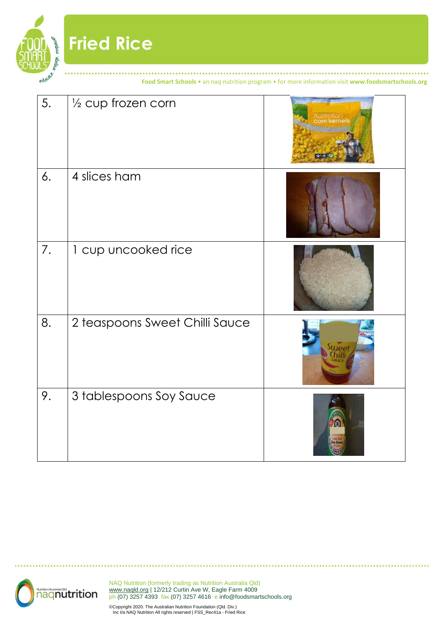**Food Smart Schools** • an naq nutrition program • for more information visit **www.foodsmartschools.org**

| 5. | $\frac{1}{2}$ cup frozen corn  | straliar<br><b>GH #</b> |
|----|--------------------------------|-------------------------|
| 6. | 4 slices ham                   |                         |
| 7. | 1 cup uncooked rice            |                         |
| 8. | 2 teaspoons Sweet Chilli Sauce | <b>SLLIP</b> ot         |
| 9. | 3 tablespoons Soy Sauce        | 圖                       |

**Fried Rice**

<sup>e</sup>ngage, <sub>empowe</sub>r

educate.

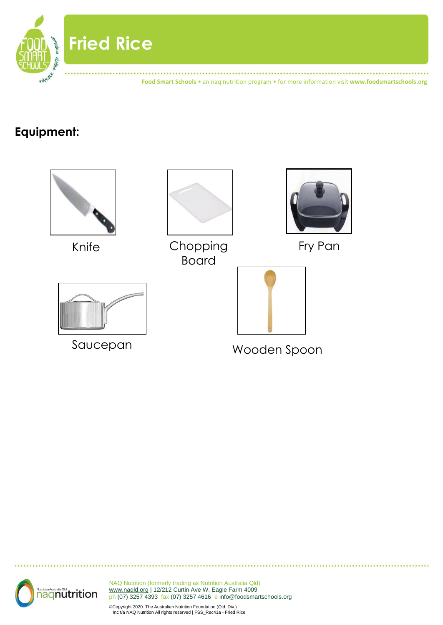

### **Equipment:**



![](_page_2_Picture_3.jpeg)

NAQ Nutrition (formerly trading as Nutrition Australia Qld) [www.naqld.org](http://www.naqld.org/) | 12/212 Curtin Ave W, Eagle Farm 4009 ph (07) 3257 4393 fax (07) 3257 4616 e info@foodsmartschools.org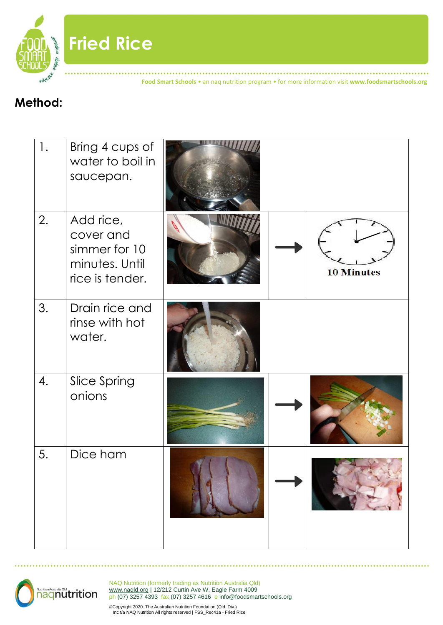![](_page_3_Picture_0.jpeg)

**Fried Rice**

**Food Smart Schools** • an naq nutrition program • for more information visit **www.foodsmartschools.org**

### **Method:**

| 1. | Bring 4 cups of<br>water to boil in<br>saucepan.                             |  |                   |
|----|------------------------------------------------------------------------------|--|-------------------|
| 2. | Add rice,<br>cover and<br>simmer for 10<br>minutes. Until<br>rice is tender. |  | <b>10 Minutes</b> |
| 3. | Drain rice and<br>rinse with hot<br>water.                                   |  |                   |
| 4. | Slice Spring<br>onions                                                       |  |                   |
| 5. | Dice ham                                                                     |  |                   |

![](_page_3_Picture_4.jpeg)

NAQ Nutrition (formerly trading as Nutrition Australia Qld) [www.naqld.org](http://www.naqld.org/) | 12/212 Curtin Ave W, Eagle Farm 4009 ph (07) 3257 4393 fax (07) 3257 4616 e info@foodsmartschools.org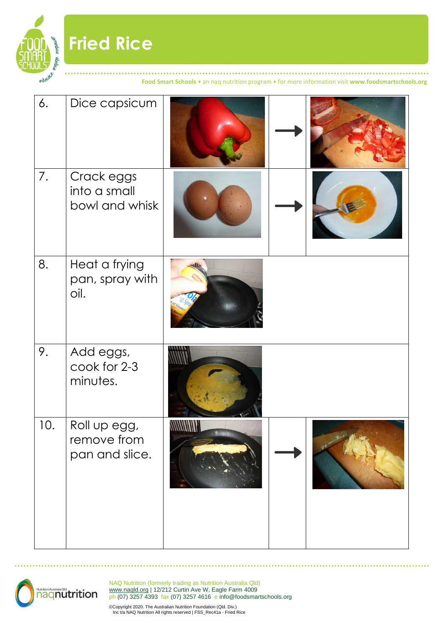![](_page_4_Picture_0.jpeg)

# **Fried Rice**

**Food Smart Schools** • an naq nutrition program • for more information visit **www.foodsmartschools.org**

| 6.  | Dice capsicum                                 |       |  |
|-----|-----------------------------------------------|-------|--|
| 7.  | Crack eggs<br>into a small<br>bowl and whisk  |       |  |
| 8.  | Heat a frying<br>pan, spray with<br>oil.      | dh    |  |
| 9.  | Add eggs,<br>cook for 2-3<br>minutes.         |       |  |
| 10. | Roll up egg,<br>remove from<br>pan and slice. | WWWWW |  |

![](_page_4_Picture_4.jpeg)

NAQ Nutrition (formerly trading as Nutrition Australia Qld) [www.naqld.org](http://www.naqld.org/) | 12/212 Curtin Ave W, Eagle Farm 4009 ph (07) 3257 4393 fax (07) 3257 4616 e info@foodsmartschools.org